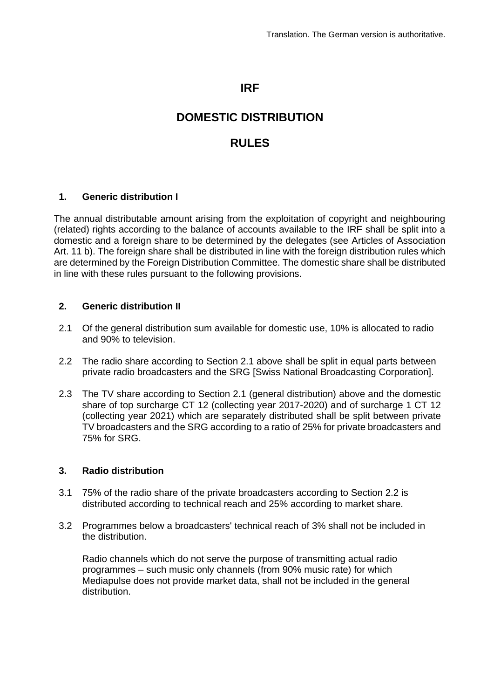## **IRF**

# **DOMESTIC DISTRIBUTION**

## **RULES**

### **1. Generic distribution I**

The annual distributable amount arising from the exploitation of copyright and neighbouring (related) rights according to the balance of accounts available to the IRF shall be split into a domestic and a foreign share to be determined by the delegates (see Articles of Association Art. 11 b). The foreign share shall be distributed in line with the foreign distribution rules which are determined by the Foreign Distribution Committee. The domestic share shall be distributed in line with these rules pursuant to the following provisions.

#### **2. Generic distribution II**

- 2.1 Of the general distribution sum available for domestic use, 10% is allocated to radio and 90% to television.
- 2.2 The radio share according to Section 2.1 above shall be split in equal parts between private radio broadcasters and the SRG [Swiss National Broadcasting Corporation].
- 2.3 The TV share according to Section 2.1 (general distribution) above and the domestic share of top surcharge CT 12 (collecting year 2017-2020) and of surcharge 1 CT 12 (collecting year 2021) which are separately distributed shall be split between private TV broadcasters and the SRG according to a ratio of 25% for private broadcasters and 75% for SRG.

#### **3. Radio distribution**

- 3.1 75% of the radio share of the private broadcasters according to Section 2.2 is distributed according to technical reach and 25% according to market share.
- 3.2 Programmes below a broadcasters' technical reach of 3% shall not be included in the distribution.

Radio channels which do not serve the purpose of transmitting actual radio programmes – such music only channels (from 90% music rate) for which Mediapulse does not provide market data, shall not be included in the general distribution.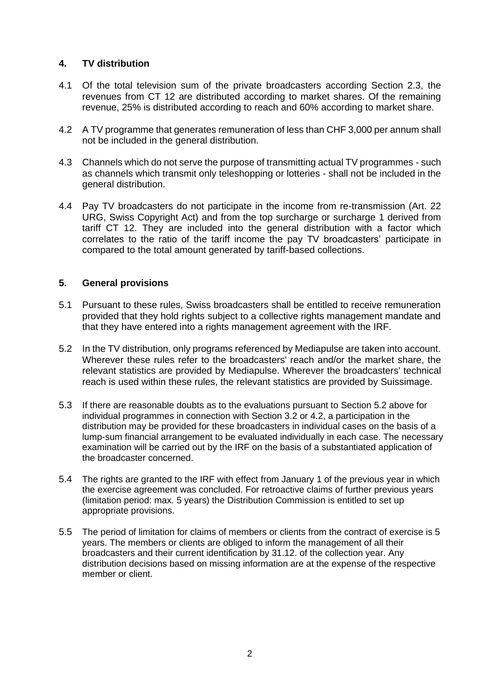## **4. TV distribution**

- 4.1 Of the total television sum of the private broadcasters according Section 2.3, the revenues from CT 12 are distributed according to market shares. Of the remaining revenue, 25% is distributed according to reach and 60% according to market share.
- 4.2 A TV programme that generates remuneration of less than CHF 3,000 per annum shall not be included in the general distribution.
- 4.3 Channels which do not serve the purpose of transmitting actual TV programmes such as channels which transmit only teleshopping or lotteries - shall not be included in the general distribution.
- 4.4 Pay TV broadcasters do not participate in the income from re-transmission (Art. 22 URG, Swiss Copyright Act) and from the top surcharge or surcharge 1 derived from tariff CT 12. They are included into the general distribution with a factor which correlates to the ratio of the tariff income the pay TV broadcasters' participate in compared to the total amount generated by tariff-based collections.

#### **5. General provisions**

- 5.1 Pursuant to these rules, Swiss broadcasters shall be entitled to receive remuneration provided that they hold rights subject to a collective rights management mandate and that they have entered into a rights management agreement with the IRF.
- 5.2 In the TV distribution, only programs referenced by Mediapulse are taken into account. Wherever these rules refer to the broadcasters' reach and/or the market share, the relevant statistics are provided by Mediapulse. Wherever the broadcasters' technical reach is used within these rules, the relevant statistics are provided by Suissimage.
- 5.3 If there are reasonable doubts as to the evaluations pursuant to Section 5.2 above for individual programmes in connection with Section 3.2 or 4.2, a participation in the distribution may be provided for these broadcasters in individual cases on the basis of a lump-sum financial arrangement to be evaluated individually in each case. The necessary examination will be carried out by the IRF on the basis of a substantiated application of the broadcaster concerned.
- 5.4 The rights are granted to the IRF with effect from January 1 of the previous year in which the exercise agreement was concluded. For retroactive claims of further previous years (limitation period: max. 5 years) the Distribution Commission is entitled to set up appropriate provisions.
- 5.5 The period of limitation for claims of members or clients from the contract of exercise is 5 years. The members or clients are obliged to inform the management of all their broadcasters and their current identification by 31.12. of the collection year. Any distribution decisions based on missing information are at the expense of the respective member or client.